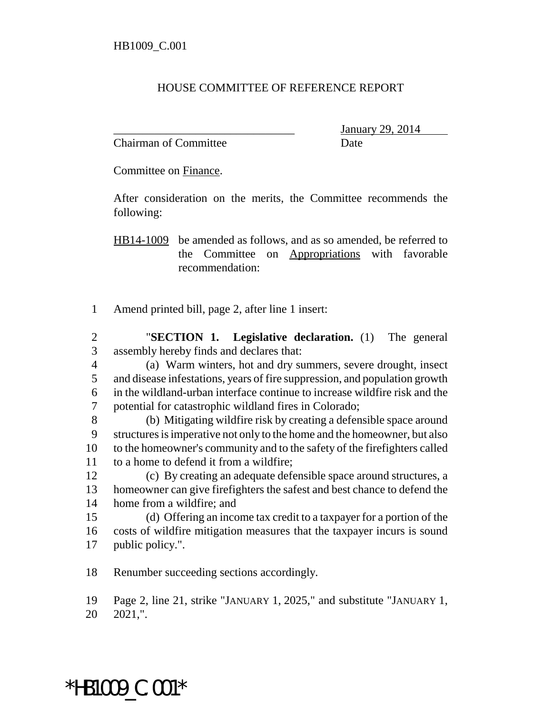## HOUSE COMMITTEE OF REFERENCE REPORT

Chairman of Committee **Date** 

\_\_\_\_\_\_\_\_\_\_\_\_\_\_\_\_\_\_\_\_\_\_\_\_\_\_\_\_\_\_\_ January 29, 2014

Committee on Finance.

After consideration on the merits, the Committee recommends the following:

HB14-1009 be amended as follows, and as so amended, be referred to the Committee on Appropriations with favorable recommendation:

- Amend printed bill, page 2, after line 1 insert:
- "**SECTION 1. Legislative declaration.** (1) The general assembly hereby finds and declares that:
- (a) Warm winters, hot and dry summers, severe drought, insect and disease infestations, years of fire suppression, and population growth in the wildland-urban interface continue to increase wildfire risk and the potential for catastrophic wildland fires in Colorado;
- (b) Mitigating wildfire risk by creating a defensible space around structures is imperative not only to the home and the homeowner, but also to the homeowner's community and to the safety of the firefighters called to a home to defend it from a wildfire;
- (c) By creating an adequate defensible space around structures, a homeowner can give firefighters the safest and best chance to defend the home from a wildfire; and
- (d) Offering an income tax credit to a taxpayer for a portion of the costs of wildfire mitigation measures that the taxpayer incurs is sound public policy.".
- Renumber succeeding sections accordingly.

Page 2, line 21, strike "JANUARY 1, 2025," and substitute "JANUARY 1,

2021,".

## \*HB1009\_C.001\*